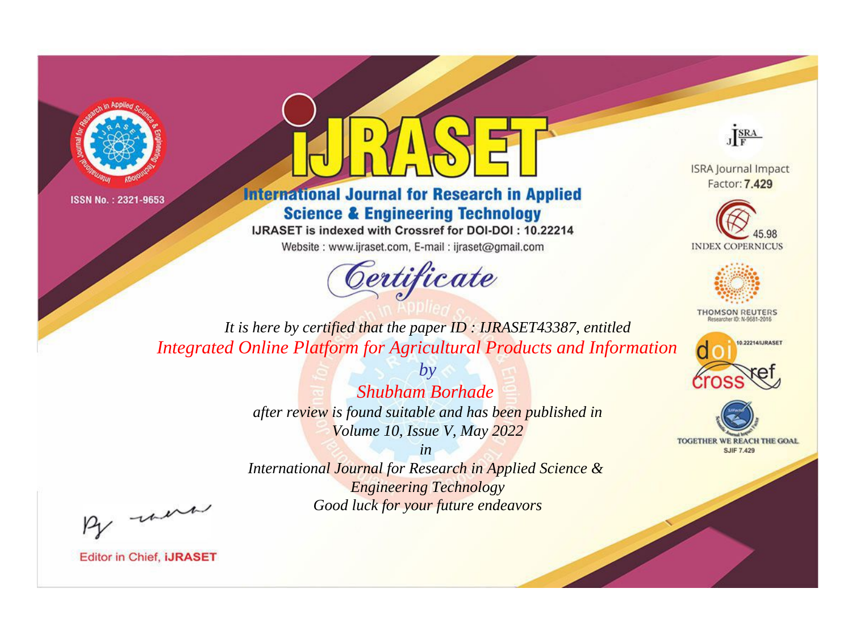



**International Journal for Research in Applied Science & Engineering Technology** 

IJRASET is indexed with Crossref for DOI-DOI: 10.22214

Website: www.ijraset.com, E-mail: ijraset@gmail.com



JERA

**ISRA Journal Impact** Factor: 7.429





**THOMSON REUTERS** 



TOGETHER WE REACH THE GOAL **SJIF 7.429** 

*It is here by certified that the paper ID : IJRASET43387, entitled Integrated Online Platform for Agricultural Products and Information*

> *Shubham Borhade after review is found suitable and has been published in Volume 10, Issue V, May 2022*

*by*

*in* 

*International Journal for Research in Applied Science & Engineering Technology Good luck for your future endeavors*

By morn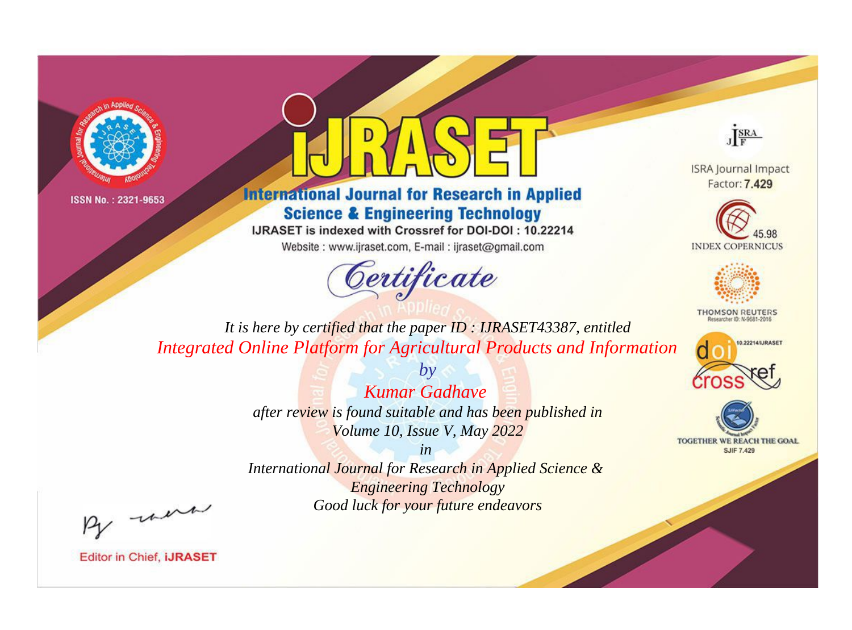



**International Journal for Research in Applied Science & Engineering Technology** 

IJRASET is indexed with Crossref for DOI-DOI: 10.22214

Website: www.ijraset.com, E-mail: ijraset@gmail.com



JERA

**ISRA Journal Impact** Factor: 7.429





**THOMSON REUTERS** 



TOGETHER WE REACH THE GOAL **SJIF 7.429** 

*It is here by certified that the paper ID : IJRASET43387, entitled Integrated Online Platform for Agricultural Products and Information*

> *Kumar Gadhave after review is found suitable and has been published in Volume 10, Issue V, May 2022*

*by*

*in* 

*International Journal for Research in Applied Science & Engineering Technology Good luck for your future endeavors*

By morn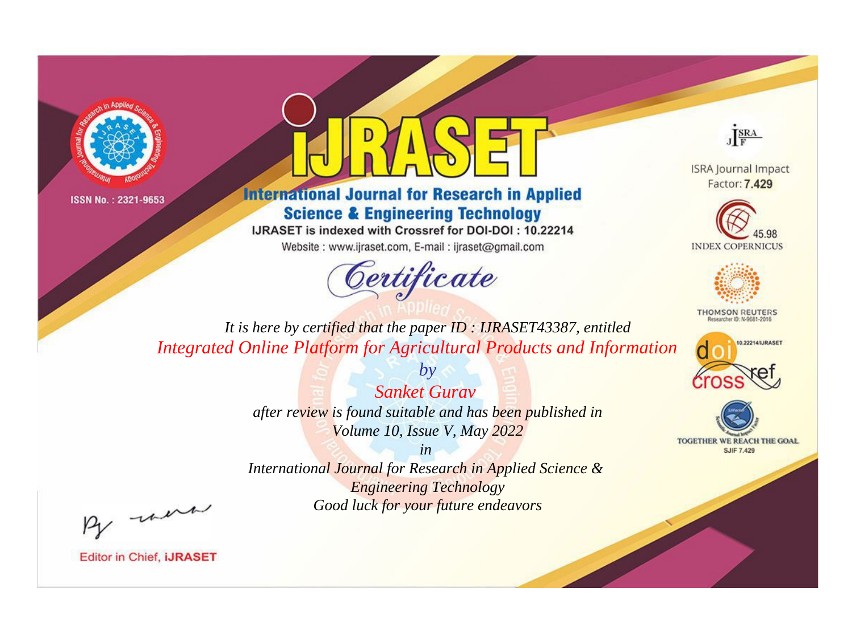



**International Journal for Research in Applied Science & Engineering Technology** 

IJRASET is indexed with Crossref for DOI-DOI: 10.22214

Website: www.ijraset.com, E-mail: ijraset@gmail.com



JERA

**ISRA Journal Impact** Factor: 7.429





**THOMSON REUTERS** 



TOGETHER WE REACH THE GOAL **SJIF 7.429** 

*It is here by certified that the paper ID : IJRASET43387, entitled Integrated Online Platform for Agricultural Products and Information*

> *Sanket Gurav after review is found suitable and has been published in Volume 10, Issue V, May 2022*

*by*

*in* 

*International Journal for Research in Applied Science & Engineering Technology Good luck for your future endeavors*

By morn